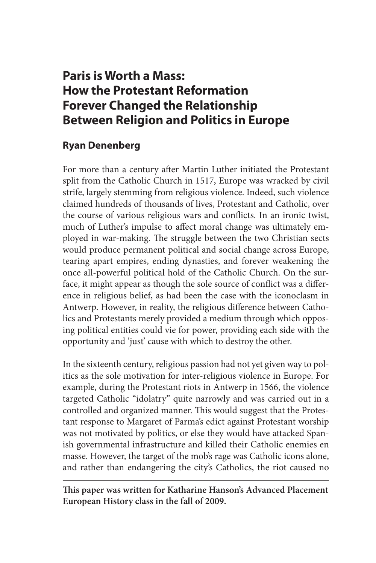## **Paris is Worth a Mass: How the Protestant Reformation Forever Changed the Relationship Between Religion and Politics in Europe**

## **Ryan Denenberg**

For more than a century after Martin Luther initiated the Protestant split from the Catholic Church in 1517, Europe was wracked by civil strife, largely stemming from religious violence. Indeed, such violence claimed hundreds of thousands of lives, Protestant and Catholic, over the course of various religious wars and conflicts. In an ironic twist, much of Luther's impulse to affect moral change was ultimately employed in war-making. The struggle between the two Christian sects would produce permanent political and social change across Europe, tearing apart empires, ending dynasties, and forever weakening the once all-powerful political hold of the Catholic Church. On the surface, it might appear as though the sole source of conflict was a difference in religious belief, as had been the case with the iconoclasm in Antwerp. However, in reality, the religious difference between Catholics and Protestants merely provided a medium through which opposing political entities could vie for power, providing each side with the opportunity and 'just' cause with which to destroy the other.

In the sixteenth century, religious passion had not yet given way to politics as the sole motivation for inter-religious violence in Europe. For example, during the Protestant riots in Antwerp in 1566, the violence targeted Catholic "idolatry" quite narrowly and was carried out in a controlled and organized manner. This would suggest that the Protestant response to Margaret of Parma's edict against Protestant worship was not motivated by politics, or else they would have attacked Spanish governmental infrastructure and killed their Catholic enemies en masse. However, the target of the mob's rage was Catholic icons alone, and rather than endangering the city's Catholics, the riot caused no

**This paper was written for Katharine Hanson's Advanced Placement European History class in the fall of 2009.**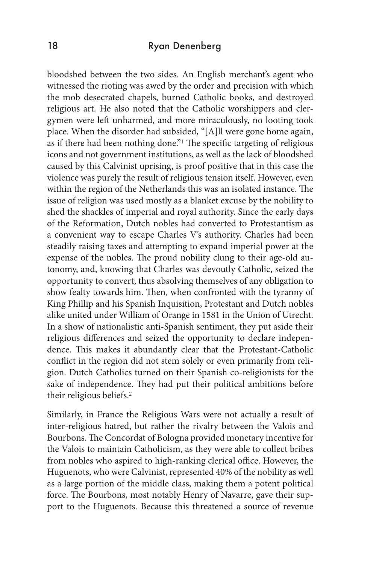## 18 Ryan Denenberg

bloodshed between the two sides. An English merchant's agent who witnessed the rioting was awed by the order and precision with which the mob desecrated chapels, burned Catholic books, and destroyed religious art. He also noted that the Catholic worshippers and clergymen were left unharmed, and more miraculously, no looting took place. When the disorder had subsided, "[A]ll were gone home again, as if there had been nothing done."<sup>1</sup> The specific targeting of religious icons and not government institutions, as well as the lack of bloodshed caused by this Calvinist uprising, is proof positive that in this case the violence was purely the result of religious tension itself. However, even within the region of the Netherlands this was an isolated instance. The issue of religion was used mostly as a blanket excuse by the nobility to shed the shackles of imperial and royal authority. Since the early days of the Reformation, Dutch nobles had converted to Protestantism as a convenient way to escape Charles V's authority. Charles had been steadily raising taxes and attempting to expand imperial power at the expense of the nobles. The proud nobility clung to their age-old autonomy, and, knowing that Charles was devoutly Catholic, seized the opportunity to convert, thus absolving themselves of any obligation to show fealty towards him. Then, when confronted with the tyranny of King Phillip and his Spanish Inquisition, Protestant and Dutch nobles alike united under William of Orange in 1581 in the Union of Utrecht. In a show of nationalistic anti-Spanish sentiment, they put aside their religious differences and seized the opportunity to declare independence. This makes it abundantly clear that the Protestant-Catholic conflict in the region did not stem solely or even primarily from religion. Dutch Catholics turned on their Spanish co-religionists for the sake of independence. They had put their political ambitions before their religious beliefs.2

Similarly, in France the Religious Wars were not actually a result of inter-religious hatred, but rather the rivalry between the Valois and Bourbons. The Concordat of Bologna provided monetary incentive for the Valois to maintain Catholicism, as they were able to collect bribes from nobles who aspired to high-ranking clerical office. However, the Huguenots, who were Calvinist, represented 40% of the nobility as well as a large portion of the middle class, making them a potent political force. The Bourbons, most notably Henry of Navarre, gave their support to the Huguenots. Because this threatened a source of revenue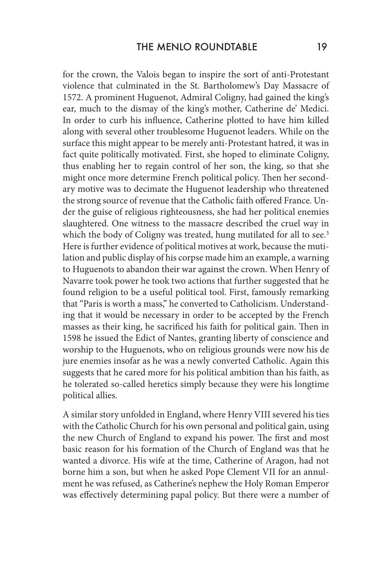for the crown, the Valois began to inspire the sort of anti-Protestant violence that culminated in the St. Bartholomew's Day Massacre of 1572. A prominent Huguenot, Admiral Coligny, had gained the king's ear, much to the dismay of the king's mother, Catherine de' Medici. In order to curb his influence, Catherine plotted to have him killed along with several other troublesome Huguenot leaders. While on the surface this might appear to be merely anti-Protestant hatred, it was in fact quite politically motivated. First, she hoped to eliminate Coligny, thus enabling her to regain control of her son, the king, so that she might once more determine French political policy. Then her secondary motive was to decimate the Huguenot leadership who threatened the strong source of revenue that the Catholic faith offered France. Under the guise of religious righteousness, she had her political enemies slaughtered. One witness to the massacre described the cruel way in which the body of Coligny was treated, hung mutilated for all to see.<sup>3</sup> Here is further evidence of political motives at work, because the mutilation and public display of his corpse made him an example, a warning to Huguenots to abandon their war against the crown. When Henry of Navarre took power he took two actions that further suggested that he found religion to be a useful political tool. First, famously remarking that "Paris is worth a mass," he converted to Catholicism. Understanding that it would be necessary in order to be accepted by the French masses as their king, he sacrificed his faith for political gain. Then in 1598 he issued the Edict of Nantes, granting liberty of conscience and worship to the Huguenots, who on religious grounds were now his de jure enemies insofar as he was a newly converted Catholic. Again this suggests that he cared more for his political ambition than his faith, as he tolerated so-called heretics simply because they were his longtime political allies.

A similar story unfolded in England, where Henry VIII severed his ties with the Catholic Church for his own personal and political gain, using the new Church of England to expand his power. The first and most basic reason for his formation of the Church of England was that he wanted a divorce. His wife at the time, Catherine of Aragon, had not borne him a son, but when he asked Pope Clement VII for an annulment he was refused, as Catherine's nephew the Holy Roman Emperor was effectively determining papal policy. But there were a number of